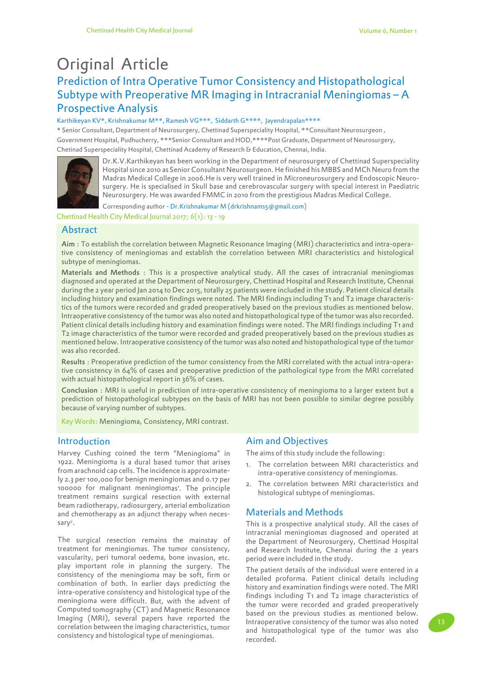# Prediction of Intra Operative Tumor Consistency and Histopathological Subtype with Preoperative MR Imaging in Intracranial Meningiomas – A Prospective Analysis Original Article

#### Karthikeyan KV\*, Krishnakumar M\*\*, Ramesh VG\*\*\*, Siddarth G\*\*\*\*, Jayendrapalan\*\*\*\*

\* Senior Consultant, Department of Neurosurgery, Chettinad Superspeciality Hospital, \*\*Consultant Neurosurgeon , Government Hospital, Pudhucherry, \*\*\*Senior Consultant and HOD,\*\*\*\*Post Graduate, Department of Neurosurgery, Chetinad Superspeciality Hospital, Chettinad Academy of Research & Education, Chennai, India.



Dr.K.V.Karthikeyan has been working in the Department of neurosurgery of Chettinad Superspeciality Hospital since 2010 as Senior Consultant Neurosurgeon. He finished his MBBS and MCh Neuro from the Madras Medical College in 2006.He is very well trained in Microneurosurgery and Endoscopic Neurosurgery. He is specialised in Skull base and cerebrovascular surgery with special interest in Paediatric Neurosurgery. He was awarded FMMC in 2010 from the prestigious Madras Medical College.

Corresponding author - Dr.Krishnakumar M (drkrishnams5@gmail.com)

Chettinad Health City Medical Journal 2017; 6(1): 13 - 19

# Abstract

Aim : To establish the correlation between Magnetic Resonance Imaging (MRI) characteristics and intra-operative consistency of meningiomas and establish the correlation between MRI characteristics and histological subtype of meningiomas.

Materials and Methods : This is a prospective analytical study. All the cases of intracranial meningiomas diagnosed and operated at the Department of Neurosurgery, Chettinad Hospital and Research Institute, Chennai during the 2 year period Jan 2014 to Dec 2015, totally 25 patients were included in the study. Patient clinical details including history and examination findings were noted. The MRI findings including T1 and T2 image characteristics of the tumors were recorded and graded preoperatively based on the previous studies as mentioned below. Intraoperative consistency of the tumor was also noted and histopathological type of the tumor was also recorded. Patient clinical details including history and examination findings were noted. The MRI findings including T1 and T2 image characteristics of the tumor were recorded and graded preoperatively based on the previous studies as mentioned below. Intraoperative consistency of the tumor was also noted and histopathological type of the tumor was also recorded.

Results : Preoperative prediction of the tumor consistency from the MRI correlated with the actual intra-operative consistency in 64% of cases and preoperative prediction of the pathological type from the MRI correlated with actual histopathological report in 36% of cases.

Conclusion : MRI is useful in prediction of intra-operative consistency of meningioma to a larger extent but a prediction of histopathological subtypes on the basis of MRI has not been possible to similar degree possibly because of varying number of subtypes.

Key Words: Meningioma, Consistency, MRI contrast.

#### Introduction

Harvey Cushing coined the term "Meningioma" in 1922. Meningioma is a dural based tumor that arises from arachnoid cap cells. The incidence is approximately 2.3 per 100,000 for benign meningiomas and 0.17 per 100000 for malignant meningiomas<sup>1</sup>. The principle treatment remains surgical resection with external beam radiotherapy, radiosurgery, arterial embolization and chemotherapy as an adjunct therapy when necessary<sup>2</sup>.

The surgical resection remains the mainstay of treatment for meningiomas. The tumor consistency, vascularity, peri tumoral oedema, bone invasion, etc. play important role in planning the surgery. The consistency of the meningioma may be soft, firm or combination of both. In earlier days predicting the intra-operative consistency and histological type of the meningioma were difficult. But, with the advent of Computed tomography (CT) and Magnetic Resonance Imaging (MRI), several papers have reported the correlation between the imaging characteristics, tumor consistency and histological type of meningiomas.

#### Aim and Objectives

The aims of this study include the following:

- 1. The correlation between MRI characteristics and intra-operative consistency of meningiomas.
- 2. The correlation between MRI characteristics and histological subtype of meningiomas.

# Materials and Methods

This is a prospective analytical study. All the cases of intracranial meningiomas diagnosed and operated at the Department of Neurosurgery, Chettinad Hospital and Research Institute, Chennai during the 2 years period were included in the study.

The patient details of the individual were entered in a detailed proforma. Patient clinical details including history and examination findings were noted. The MRI findings including T1 and T2 image characteristics of the tumor were recorded and graded preoperatively based on the previous studies as mentioned below. Intraoperative consistency of the tumor was also noted and histopathological type of the tumor was also recorded.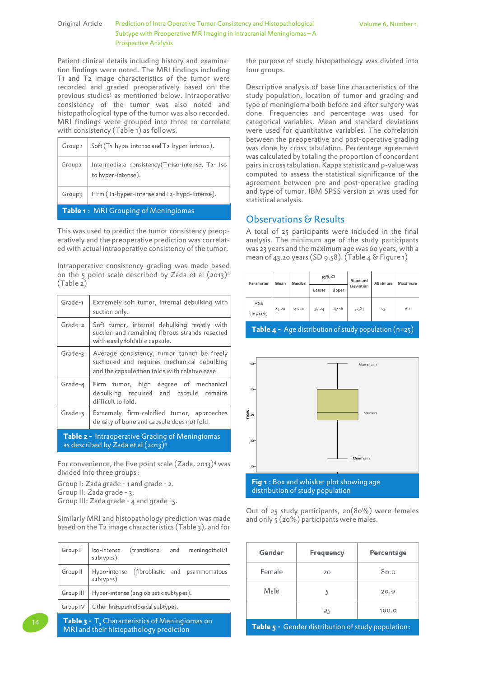#### Original Article Prediction of Intra Operative Tumor Consistency and Histopathological Subtype with Preoperative MR Imaging in Intracranial Meningiomas – A Prospective Analysis

Patient clinical details including history and examination findings were noted. The MRI findings including T1 and T2 image characteristics of the tumor were recorded and graded preoperatively based on the previous studies<sup>3</sup> as mentioned below. Intraoperative consistency of the tumor was also noted and histopathological type of the tumor was also recorded. MRI findings were grouped into three to correlate with consistency (Table 1) as follows.

|                                      | Group $1 \mid \text{Soft(T1-hypo-intensive and T2-hyper-fintense)}.$   |  |
|--------------------------------------|------------------------------------------------------------------------|--|
| Group2                               | Intermediate consistency(T1-iso-intense, T2- iso<br>to hyper-intense). |  |
| Group3                               | Firm (T1-hyper-intense and T2- hypo-intense).                          |  |
| Table 1: MRI Grouping of Meningiomas |                                                                        |  |

This was used to predict the tumor consistency preoperatively and the preoperative prediction was correlated with actual intraoperative consistency of the tumor.

Intraoperative consistency grading was made based on the 5 point scale described by Zada et al  $(2013)^4$ (Table 2)

| Grade-1                                                                                                  | Extremely soft tumor, internal debulking with<br>suction only.                                                                               |  |
|----------------------------------------------------------------------------------------------------------|----------------------------------------------------------------------------------------------------------------------------------------------|--|
| Grade-2                                                                                                  | Soft tumor, internal debulking mostly with<br>suction and remaining fibrous strands resected<br>with easily foldable capsule.                |  |
| Grade-3                                                                                                  | Average consistency, tumor cannot be freely<br>suctioned and requires mechanical debulking<br>and the capsule then folds with relative ease. |  |
| Grade-4                                                                                                  | Firm tumor, high degree of mechanical<br>debulking required and capsule remains<br>difficult to fold.                                        |  |
| Grade-s                                                                                                  | Extremely firm-calcified tumor, approaches<br>density of bone and capsule does not fold.                                                     |  |
| <b>Table 2 -</b> Intraoperative Grading of Meningiomas<br>as described by Zada et al (2013) <sup>4</sup> |                                                                                                                                              |  |

For convenience, the five point scale  $(Zada, 2013)^4$  was divided into three groups:

Group I: Zada grade - 1 and grade - 2. Group II: Zada grade - 3. Group III: Zada grade - 4 and grade -5.

Similarly MRI and histopathology prediction was made based on the T2 image characteristics (Table 3), and for

| Group I                                                           | (transitional<br>meningethelial<br>lso-intense<br>and<br>subtypes). |  |  |
|-------------------------------------------------------------------|---------------------------------------------------------------------|--|--|
| Group II                                                          | (fibroblastic and<br>Hypo-intense<br>psammomatous<br>subtypes).     |  |  |
| Group III                                                         | Hyper-intense (angioblastic subtypes),                              |  |  |
| Group IV                                                          | Other histopathological subtypes.                                   |  |  |
| <b>Table 3 -</b> T <sub>2</sub> Characteristics of Meningiomas on |                                                                     |  |  |

14 **Table 3 -** T<sup>2</sup> MRI and their histopathology prediction the purpose of study histopathology was divided into four groups.

Descriptive analysis of base line characteristics of the study population, location of tumor and grading and type of meningioma both before and after surgery was done. Frequencies and percentage was used for categorical variables. Mean and standard deviations were used for quantitative variables. The correlation between the preoperative and post-operative grading was done by cross tabulation. Percentage agreement was calculated by totaling the proportion of concordant pairs in cross tabulation. Kappa statistic and p-value was computed to assess the statistical significance of the agreement between pre and post-operative grading and type of tumor. IBM SPSS version 21 was used for statistical analysis.

# Observations & Results

A total of 25 participants were included in the final analysis. The minimum age of the study participants was 23 years and the maximum age was 60 years, with a mean of 43.20 years (SD 9.58). (Table 4 & Figure 1)

| Parameter         | Meen           | Medien    | 95% Cl |       | Standard | Minimum | Maximum        |
|-------------------|----------------|-----------|--------|-------|----------|---------|----------------|
|                   | Upper<br>Lower | Deviation |        |       |          |         |                |
| AGE<br>(In years) | 43.20          | 41.00     | 39.24  | 47.16 | 9.587    | 23      | ão.            |
|                   |                |           |        |       |          |         | <b>Section</b> |

**Table 4 -** Age distribution of study population (n=25)



Out of 25 study participants, 20(80%) were females and only 5 (20%) participants were males.

| Gender                                             | Frequency | Percentage |  |
|----------------------------------------------------|-----------|------------|--|
| Female                                             | 20        | 80.0       |  |
| Male                                               | 5         | 20.0       |  |
|                                                    | 25        | 100.0      |  |
| Table 5 - Gender distribution of study population: |           |            |  |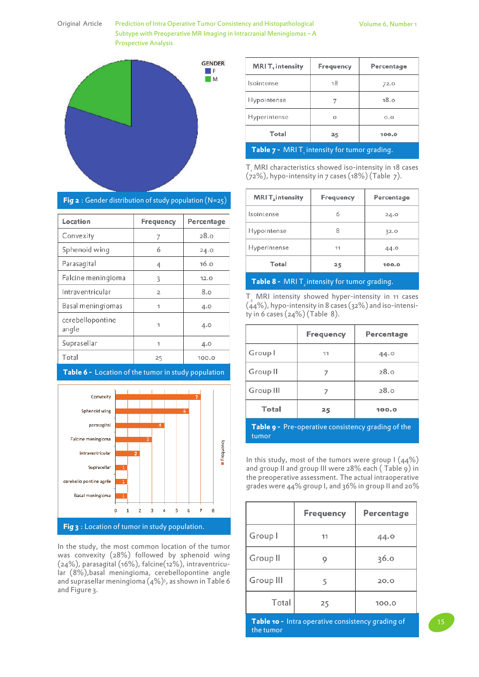Original Article Prediction of Intra Operative Tumor Consistency and Histopathological Subtype with Preoperative MR Imaging in Intracranial Meningiomas – A Prospective Analysis



| <b>MRIT</b> , intensity                      | Frequency | Percentage |  |
|----------------------------------------------|-----------|------------|--|
| Isointense                                   | 18        | 72.0       |  |
| Hypointense                                  |           | 18.0       |  |
| Hyperintense                                 | Ω         | 0.0        |  |
| Total<br>100.0<br>25                         |           |            |  |
| Table 7 - MRIT, intensity for tumor grading. |           |            |  |

T<sub>1</sub> MRI characteristics showed iso-intensity in 18 cases  $(72%)$ , hypo-intensity in 7 cases  $(18%)$  (Table 7).

| <b>MRIT</b> <sub>2</sub> intensity | Frequency | Percentage |
|------------------------------------|-----------|------------|
| Isointense                         |           | 24.0       |
| Hypointense                        |           | 32.0       |
| Hyperintense                       | 11        | 44.0       |
| Total                              | 25        | 100.0      |

#### **Table 8** -  $~$  MRI T $_{_2}$  intensity for tumor grading.

 $T<sub>2</sub>$  MRI intensity showed hyper-intensity in 11 cases  $(44%)$ , hypo-intensity in 8 cases (32%) and iso-intensity in 6 cases (24%) (Table 8).

|           | <b>Frequency</b> | Percentage |
|-----------|------------------|------------|
| Group I   | 11               | $-44.0$    |
| Group II  |                  | 28. o      |
| Group III | 7                | 28.o       |
| Total     | 25               | 100.0      |

**Table 9 -** Pre-operative consistency grading of the tumor

In this study, most of the tumors were group  $1 (44%)$ and group II and group III were 28% each ( Table 9) in the preoperative assessment. The actual intraoperative grades were 44% group I, and 36% in group II and 20%

|           | Frequency | Percentage |
|-----------|-----------|------------|
| Group I   | 11        | 44.0       |
| Group II  | Q         | 36.0       |
| Group III | 5         | 20.0       |
| Total     | 25        | 100.0      |

**Table 10 -** Intra operative consistency grading of the tumor

| Fig $2:$ Gender distribution of study population (N=25) |
|---------------------------------------------------------|
|---------------------------------------------------------|

| Location                  | Frequency      | Percentage |
|---------------------------|----------------|------------|
| Convexity                 | 7              | 28.0       |
| Sphenoid wing             | 6              | 24.0       |
| Parasagital               |                | 16.0       |
| Falcine meningioma        | 3              | 12.0       |
| Intraventricular          | $\overline{2}$ | 8.0        |
| Basal meningiomas         | 1              | 4.0        |
| cerebellopontine<br>angle | 1              | 4.0        |
| Suprasellar               | 1              | 4.0        |
| Total                     | 25             | 100.0      |

#### **Table 6 -** Location of the tumor in study population



In the study, the most common location of the tumor was convexity (28%) followed by sphenoid wing (24%), parasagital (16%), falcine(12%), intraventricular (8%),basal meningioma, cerebellopontine angle and suprasellar meningioma  $(4\%)$ <sup>5</sup>, as shown in Table 6 and Figure 3.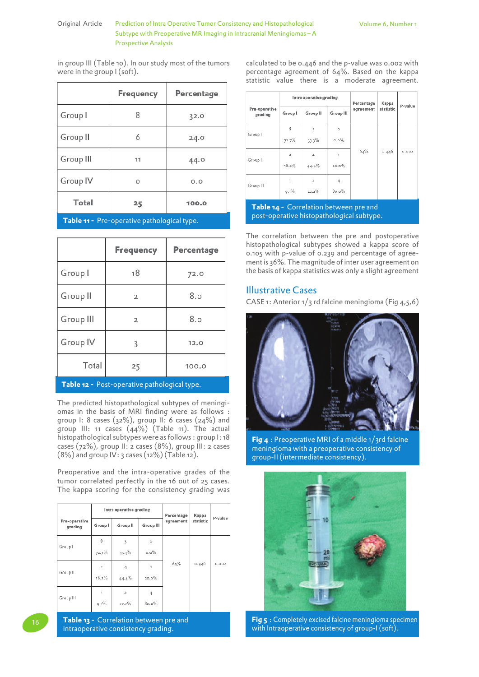#### Original Article Prediction of Intra Operative Tumor Consistency and Histopathological Volume 6, Number 1 Subtype with Preoperative MR Imaging in Intracranial Meningiomas – A Prospective Analysis

in group III (Table 10). In our study most of the tumors were in the group I (soft).

|           | Frequency | Percentage |
|-----------|-----------|------------|
| Group I   | 8         | 32.0       |
| Group II  | 6         | 24.0       |
| Group III | 11        | 44.0       |
| Group IV  | Ō         | 0.0        |
| Total     | 25        | 100.0      |

**Table 11 -** Pre-operative pathological type.

|           | Finequency | Percentage |  |  |
|-----------|------------|------------|--|--|
| Group I   | 18         | 72.0       |  |  |
| Group II  | 2          | 8.0        |  |  |
| Group III | ž          | 8.0        |  |  |
| Group IV  | 3          | 12.0       |  |  |
| Total     | 25         | 100.0      |  |  |

**Post-operative pathological typ** 

The predicted histopathological subtypes of meningiomas in the basis of MRI finding were as follows : group I: 8 cases (32%), group II: 6 cases (24%) and group III: 11 cases (44%) (Table 11). The actual histopathological subtypes were as follows : group I: 18 cases (72%), group II: 2 cases (8%), group III: 2 cases (8%) and group IV: 3 cases (12%) (Table 12).

Preoperative and the intra-operative grades of the tumor correlated perfectly in the 16 out of 25 cases. The kappa scoring for the consistency grading was

|                          | Intra operative greding |          |                  | Percentage | Kappa     |          |
|--------------------------|-------------------------|----------|------------------|------------|-----------|----------|
| Pre-operative<br>grading | Group                   | Group II | Graup III        | agreement  | statistic | P-valus. |
| Group I                  | 8                       | 3        | O                |            |           |          |
|                          | 72.7%                   | 33.3%    | $0.0\%$          |            |           |          |
| Group II                 | $\bar{2}$               | 4        | 1                | 64%        | 0.446     | 0.002    |
|                          | 18.2%                   | 44.4%    | 20.0%            |            |           |          |
|                          | 4                       | $^{2}$   | $\boldsymbol{A}$ |            |           |          |
| Group III                | 9.1%                    | 22.3%    | 80.0%            |            |           |          |

16 **Table 13 -** Correlation between pre and intraoperative consistency grading.

calculated to be 0.446 and the p-value was 0.002 with percentage agreement of 64%. Based on the kappa statistic value there is a moderate agreement.

|                                                                                            | Intra operative grading |                         |                  | Percentage | Kappa     | P-value |
|--------------------------------------------------------------------------------------------|-------------------------|-------------------------|------------------|------------|-----------|---------|
| Pre-operative<br>greding                                                                   | Group I                 | Group II                | <b>Greup III</b> | agreement  | statistic |         |
| Group I                                                                                    | 8                       | ż                       | Ó                |            |           |         |
|                                                                                            | 72.7%                   | 33.3%                   | 0.0%             | 64%        | 0.840     | 0.002   |
| Group II                                                                                   | $\overline{2}$          | ₫                       | î                |            |           |         |
|                                                                                            | 18.2%                   | 44.4%                   | 20.0%            |            |           |         |
| Group III                                                                                  | 1                       | $\overline{\mathbf{z}}$ | 4                |            |           |         |
|                                                                                            | 0.1%                    | 32.7%                   | 80.0%            |            |           |         |
| <b>Table 14 -</b> Correlation between pre and<br>post-operative histopathological subtype. |                         |                         |                  |            |           |         |

The correlation between the pre and postoperative histopathological subtypes showed a kappa score of 0.105 with p-value of 0.239 and percentage of agreement is 36%. The magnitude of inter user agreement on the basis of kappa statistics was only a slight agreement

### Illustrative Cases

CASE 1: Anterior  $1/3$  rd falcine meningioma (Fig  $4,5,6$ )



**Fig 4** : Preoperative MRI of a middle 1/3rd falcine meningioma with a preoperative consistency of group-II (intermediate consistency).



**Fig 5** : Completely excised falcine meningioma specimen with Intraoperative consistency of group-I (soft).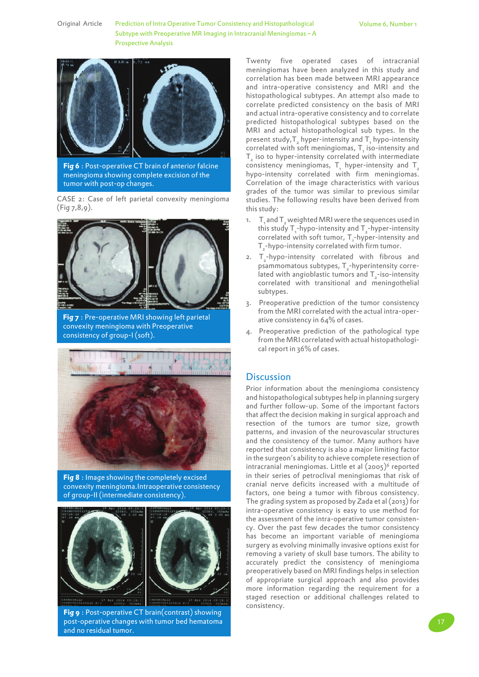Original Article Prediction of Intra Operative Tumor Consistency and Histopathological Subtype with Preoperative MR Imaging in Intracranial Meningiomas – A Prospective Analysis



**Fig 6** : Post-operative CT brain of anterior falcine meningioma showing complete excision of the tumor with post-op changes.

CASE 2: Case of left parietal convexity meningioma  $(Fiq 7,8,9)$ .



**Fig 7** : Pre-operative MRI showing left parietal convexity meningioma with Preoperative consistency of group-I (soft).



**Fig 8** : Image showing the completely excised convexity meningioma.Intraoperative consistency of group-II (intermediate consistency).



**Fig 9** : Post-operative CT brain(contrast) showing post-operative changes with tumor bed hematoma and no residual tumor.

Twenty five operated cases of intracranial meningiomas have been analyzed in this study and correlation has been made between MRI appearance and intra-operative consistency and MRI and the histopathological subtypes. An attempt also made to correlate predicted consistency on the basis of MRI and actual intra-operative consistency and to correlate predicted histopathological subtypes based on the MRI and actual histopathological sub types. In the present study,  $T_2$  hyper-intensity and  $T_1$  hypo-intensity correlated with soft meningiomas,  $T_{1}$  iso-intensity and  ${\tt T}_{\scriptscriptstyle 2}$  iso to hyper-intensity correlated with intermediate consistency meningiomas,  $T_{1}$  hyper-intensity and  $T_{2}$ hypo-intensity correlated with firm meningiomas. Correlation of the image characteristics with various grades of the tumor was similar to previous similar studies. The following results have been derived from this study:

- 1.  $T_{1}$  and  $T_{2}$  weighted MRI were the sequences used in this study  $T_1$ -hypo-intensity and  $T_2$ -hyper-intensity correlated with soft tumor,  $T_1$ -hyper-intensity and  ${\sf T}_\textsf{\scriptsize 2}$ -hypo-intensity correlated with firm tumor.
- 2.  $T_{2}$ -hypo-intensity correlated with fibrous and psammomatous subtypes,  $T_{2}$ -hyperintensity correlated with angioblastic tumors and  $T_{2}$ -iso-intensity correlated with transitional and meningothelial subtypes.
- 3. Preoperative prediction of the tumor consistency from the MRI correlated with the actual intra-operative consistency in 64% of cases.
- 4. Preoperative prediction of the pathological type from the MRI correlated with actual histopathological report in 36% of cases.

#### **Discussion**

Prior information about the meningioma consistency and histopathological subtypes help in planning surgery and further follow-up. Some of the important factors that affect the decision making in surgical approach and resection of the tumors are tumor size, growth patterns, and invasion of the neurovascular structures and the consistency of the tumor. Many authors have reported that consistency is also a major limiting factor in the surgeon's ability to achieve complete resection of intracranial meningiomas. Little et al (2005)<sup>6</sup> reported in their series of petroclival meningiomas that risk of cranial nerve deficits increased with a multitude of factors, one being a tumor with fibrous consistency. The grading system as proposed by Zada et al (2013) for intra-operative consistency is easy to use method for the assessment of the intra-operative tumor consistency. Over the past few decades the tumor consistency has become an important variable of meningioma surgery as evolving minimally invasive options exist for removing a variety of skull base tumors. The ability to accurately predict the consistency of meningioma preoperatively based on MRI findings helps in selection of appropriate surgical approach and also provides more information regarding the requirement for a staged resection or additional challenges related to consistency.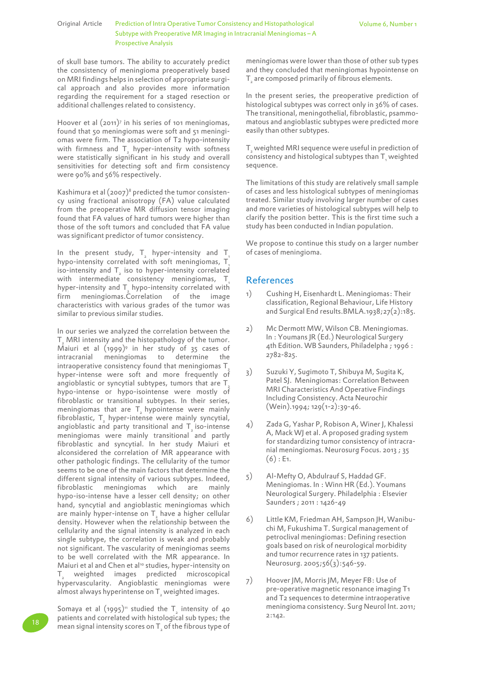#### Original Article Prediction of Intra Operative Tumor Consistency and Histopathological Volume 6, Number 1 Subtype with Preoperative MR Imaging in Intracranial Meningiomas – A Prospective Analysis

of skull base tumors. The ability to accurately predict the consistency of meningioma preoperatively based on MRI findings helps in selection of appropriate surgical approach and also provides more information regarding the requirement for a staged resection or additional challenges related to consistency.

Hoover et al (2011)<sup>7</sup> in his series of 101 meningiomas, found that 50 meningiomas were soft and 51 meningiomas were firm. The association of T2 hypo-intensity with firmness and  $T_{2}$  hyper-intensity with softness were statistically significant in his study and overall sensitivities for detecting soft and firm consistency were 90% and 56% respectively.

Kashimura et al  $(2007)^8$  predicted the tumor consistency using fractional anisotropy (FA) value calculated from the preoperative MR diffusion tensor imaging found that FA values of hard tumors were higher than those of the soft tumors and concluded that FA value was significant predictor of tumor consistency.

In the present study,  $T_{2}$  hyper-intensity and  $T_{3}$ hypo-intensity correlated with soft meningiomas, T iso-intensity and  $T_{2}$  iso to hyper-intensity correlated with intermediate consistency meningiomas,  $T<sub>1</sub>$ hyper-intensity and  $T_{2}$  hypo-intensity correlated with firm meningiomas.Correlation of the image characteristics with various grades of the tumor was similar to previous similar studies.

In our series we analyzed the correlation between the  ${\tt T}_{\!\scriptscriptstyle 2}$  MRI intensity and the histopathology of the tumor. Maiuri et al  $(1999)^9$  in her study of 35 cases of intracranial meningiomas to determine the intraoperative consistency found that meningiomas  $T<sub>2</sub>$ hyper-intense were soft and more frequently of angioblastic or syncytial subtypes, tumors that are T hypo-intense or hypo-isointense were mostly of fibroblastic or transitional subtypes. In their series, meningiomas that are  $T_{2}$  hypointense were mainly fibroblastic,  $T_{2}$  hyper-intense were mainly syncytial, angioblastic and party transitional and  $T_{2}$  iso-intense meningiomas were mainly transitional and partly fibroblastic and syncytial. In her study Maiuri et alconsidered the correlation of MR appearance with other pathologic findings. The cellularity of the tumor seems to be one of the main factors that determine the different signal intensity of various subtypes. Indeed, fibroblastic meningiomas which are mainly hypo-iso-intense have a lesser cell density; on other hand, syncytial and angioblastic meningiomas which are mainly hyper-intense on  $\mathsf{T}_{_2}$  have a higher cellular density. However when the relationship between the cellularity and the signal intensity is analyzed in each single subtype, the correlation is weak and probably not significant. The vascularity of meningiomas seems to be well correlated with the MR appearance. In Maiuri et al and Chen et al<sup>10</sup> studies, hyper-intensity on  ${\sf T}_\mathrm{z}$  weighted images predicted microscopical hypervascularity. Angioblastic meningiomas were almost always hyperintense on  ${\sf T}_{_2}$  weighted images.

Somaya et al  $(1995)^n$  studied the  $T_{2}$  intensity of 40 patients and correlated with histological sub types; the mean signal intensity scores on  $\mathsf{T}_\mathsf{2}$  of the fibrous type of meningiomas were lower than those of other sub types and they concluded that meningiomas hypointense on  ${\sf T}_{\sf_2}$  are composed primarily of fibrous elements.

In the present series, the preoperative prediction of histological subtypes was correct only in 36% of cases. The transitional, meningothelial, fibroblastic, psammomatous and angioblastic subtypes were predicted more easily than other subtypes.

 ${\sf T}_{\sf_{2}}$  weighted MRI sequence were useful in prediction of consistency and histological subtypes than  $\mathsf{T}_i$  weighted sequence.

The limitations of this study are relatively small sample of cases and less histological subtypes of meningiomas treated. Similar study involving larger number of cases and more varieties of histological subtypes will help to clarify the position better. This is the first time such a study has been conducted in Indian population.

We propose to continue this study on a larger number of cases of meningioma.

# References

- 1) Cushing H, Eisenhardt L. Meningiomas: Their classification, Regional Behaviour, Life History and Surgical End results.BMLA.1938;27(2):185.
- 2) Mc Dermott MW, Wilson CB. Meningiomas. In : Youmans JR (Ed.) Neurological Surgery 4th Edition. WB Saunders, Philadelpha ; 1996 : 2782-825.
- 3) Suzuki Y, Sugimoto T, Shibuya M, Sugita K, Patel SJ. Meningiomas: Correlation Between MRI Characteristics And Operative Findings Including Consistency. Acta Neurochir (Wein).1994; 129(1-2):39-46.
- 4) Zada G, Yashar P, Robison A, Winer J, Khalessi A, Mack WJ et al. A proposed grading system for standardizing tumor consistency of intracranial meningiomas. Neurosurg Focus. 2013 ; 35  $(6)$ : E<sub>1</sub>.
- 5) Al-Mefty O, Abdulrauf S, Haddad GF. Meningiomas. In : Winn HR (Ed.). Youmans Neurological Surgery. Philadelphia : Elsevier Saunders ; 2011 : 1426-49
- 6) Little KM, Friedman AH, Sampson JH, Wanibuchi M, Fukushima T. Surgical management of petroclival meningiomas: Defining resection goals based on risk of neurological morbidity and tumor recurrence rates in 137 patients. Neurosurg. 2005;56(3):546-59.
- 7) Hoover JM, Morris JM, Meyer FB: Use of pre-operative magnetic resonance imaging T1 and T2 sequences to determine intraoperative meningioma consistency. Surg Neurol Int. 2011; 2:142.